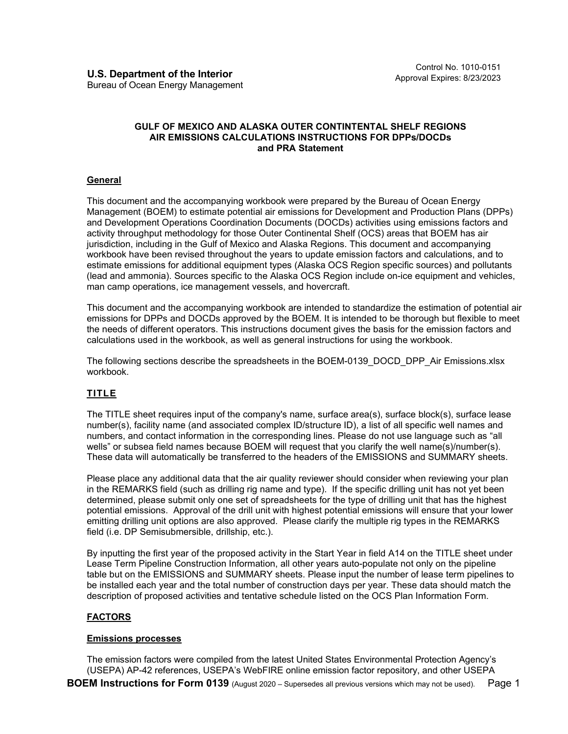### **GULF OF MEXICO AND ALASKA OUTER CONTINTENTAL SHELF REGIONS AIR EMISSIONS CALCULATIONS INSTRUCTIONS FOR DPPs/DOCDs and PRA Statement**

## **General**

This document and the accompanying workbook were prepared by the Bureau of Ocean Energy Management (BOEM) to estimate potential air emissions for Development and Production Plans (DPPs) and Development Operations Coordination Documents (DOCDs) activities using emissions factors and activity throughput methodology for those Outer Continental Shelf (OCS) areas that BOEM has air jurisdiction, including in the Gulf of Mexico and Alaska Regions. This document and accompanying workbook have been revised throughout the years to update emission factors and calculations, and to estimate emissions for additional equipment types (Alaska OCS Region specific sources) and pollutants (lead and ammonia). Sources specific to the Alaska OCS Region include on-ice equipment and vehicles, man camp operations, ice management vessels, and hovercraft.

This document and the accompanying workbook are intended to standardize the estimation of potential air emissions for DPPs and DOCDs approved by the BOEM. It is intended to be thorough but flexible to meet the needs of different operators. This instructions document gives the basis for the emission factors and calculations used in the workbook, as well as general instructions for using the workbook.

The following sections describe the spreadsheets in the BOEM-0139\_DOCD\_DPP\_Air Emissions.xlsx workbook.

# **TITLE**

The TITLE sheet requires input of the company's name, surface area(s), surface block(s), surface lease number(s), facility name (and associated complex ID/structure ID), a list of all specific well names and numbers, and contact information in the corresponding lines. Please do not use language such as "all wells" or subsea field names because BOEM will request that you clarify the well name(s)/number(s). These data will automatically be transferred to the headers of the EMISSIONS and SUMMARY sheets.

Please place any additional data that the air quality reviewer should consider when reviewing your plan in the REMARKS field (such as drilling rig name and type). If the specific drilling unit has not yet been determined, please submit only one set of spreadsheets for the type of drilling unit that has the highest potential emissions. Approval of the drill unit with highest potential emissions will ensure that your lower emitting drilling unit options are also approved. Please clarify the multiple rig types in the REMARKS field (i.e. DP Semisubmersible, drillship, etc.).

By inputting the first year of the proposed activity in the Start Year in field A14 on the TITLE sheet under Lease Term Pipeline Construction Information, all other years auto-populate not only on the pipeline table but on the EMISSIONS and SUMMARY sheets. Please input the number of lease term pipelines to be installed each year and the total number of construction days per year. These data should match the description of proposed activities and tentative schedule listed on the OCS Plan Information Form.

## **FACTORS**

### **Emissions processes**

**BOEM Instructions for Form 0139** (August 2020 – Supersedes all previous versions which may not be used). Page 1 The emission factors were compiled from the latest United States Environmental Protection Agency's (USEPA) AP-42 references, USEPA's WebFIRE online emission factor repository, and other USEPA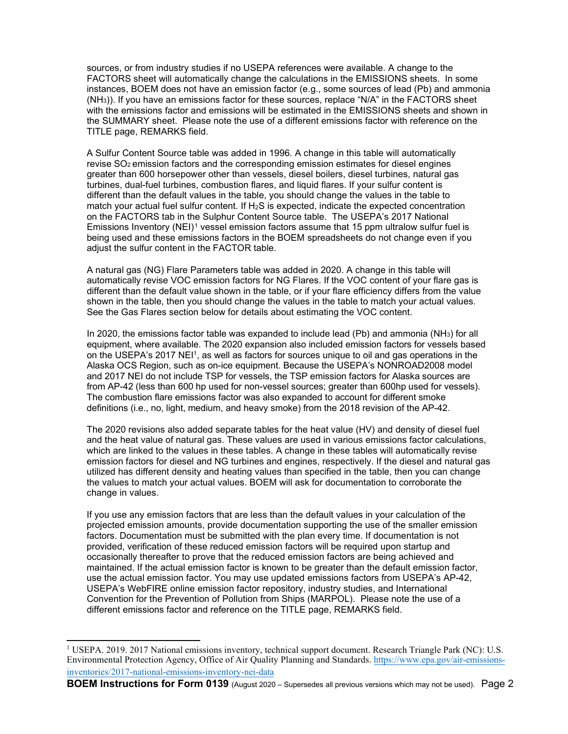sources, or from industry studies if no USEPA references were available. A change to the FACTORS sheet will automatically change the calculations in the EMISSIONS sheets. In some instances, BOEM does not have an emission factor (e.g., some sources of lead (Pb) and ammonia (NH3)). If you have an emissions factor for these sources, replace "N/A" in the FACTORS sheet with the emissions factor and emissions will be estimated in the EMISSIONS sheets and shown in the SUMMARY sheet. Please note the use of a different emissions factor with reference on the TITLE page, REMARKS field.

A Sulfur Content Source table was added in 1996. A change in this table will automatically revise SO2 emission factors and the corresponding emission estimates for diesel engines greater than 600 horsepower other than vessels, diesel boilers, diesel turbines, natural gas turbines, dual-fuel turbines, combustion flares, and liquid flares. If your sulfur content is different than the default values in the table, you should change the values in the table to match your actual fuel sulfur content. If  $H_2S$  is expected, indicate the expected concentration on the FACTORS tab in the Sulphur Content Source table. The USEPA's 2017 National Emissions Inventory (NEI)<sup>[1](#page-1-0)</sup> vessel emission factors assume that 15 ppm ultralow sulfur fuel is being used and these emissions factors in the BOEM spreadsheets do not change even if you adjust the sulfur content in the FACTOR table.

A natural gas (NG) Flare Parameters table was added in 2020. A change in this table will automatically revise VOC emission factors for NG Flares. If the VOC content of your flare gas is different than the default value shown in the table, or if your flare efficiency differs from the value shown in the table, then you should change the values in the table to match your actual values. See the Gas Flares section below for details about estimating the VOC content.

In 2020, the emissions factor table was expanded to include lead (Pb) and ammonia (NH3) for all equipment, where available. The 2020 expansion also included emission factors for vessels based on the USEPA's 2017 NEI<sup>1</sup>, as well as factors for sources unique to oil and gas operations in the Alaska OCS Region, such as on-ice equipment. Because the USEPA's NONROAD2008 model and 2017 NEI do not include TSP for vessels, the TSP emission factors for Alaska sources are from AP-42 (less than 600 hp used for non-vessel sources; greater than 600hp used for vessels). The combustion flare emissions factor was also expanded to account for different smoke definitions (i.e., no, light, medium, and heavy smoke) from the 2018 revision of the AP-42.

The 2020 revisions also added separate tables for the heat value (HV) and density of diesel fuel and the heat value of natural gas. These values are used in various emissions factor calculations, which are linked to the values in these tables. A change in these tables will automatically revise emission factors for diesel and NG turbines and engines, respectively. If the diesel and natural gas utilized has different density and heating values than specified in the table, then you can change the values to match your actual values. BOEM will ask for documentation to corroborate the change in values.

If you use any emission factors that are less than the default values in your calculation of the projected emission amounts, provide documentation supporting the use of the smaller emission factors. Documentation must be submitted with the plan every time. If documentation is not provided, verification of these reduced emission factors will be required upon startup and occasionally thereafter to prove that the reduced emission factors are being achieved and maintained. If the actual emission factor is known to be greater than the default emission factor, use the actual emission factor. You may use updated emissions factors from USEPA's AP-42, USEPA's WebFIRE online emission factor repository, industry studies, and International Convention for the Prevention of Pollution from Ships (MARPOL). Please note the use of a different emissions factor and reference on the TITLE page, REMARKS field.

<span id="page-1-0"></span><sup>&</sup>lt;sup>1</sup> USEPA. 2019. 2017 National emissions inventory, technical support document. Research Triangle Park (NC): U.S. Environmental Protection Agency, Office of Air Quality Planning and Standards. [https://www.epa.gov/air-emissions](https://www.epa.gov/air-emissions-inventories/2017-national-emissions-inventory-nei-data)[inventories/2017-national-emissions-inventory-nei-data](https://www.epa.gov/air-emissions-inventories/2017-national-emissions-inventory-nei-data)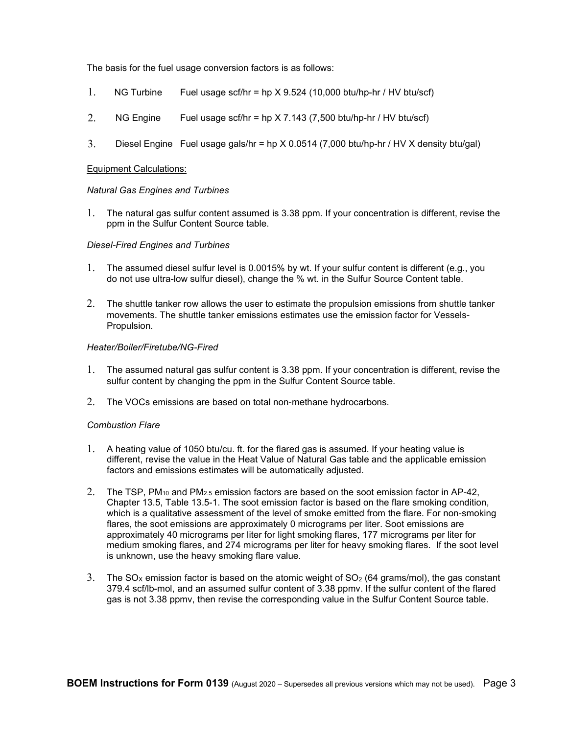The basis for the fuel usage conversion factors is as follows:

- 1. NG Turbine Fuel usage scf/hr = hp X 9.524 (10,000 btu/hp-hr / HV btu/scf)
- 2. NG Engine Fuel usage scf/hr = hp  $\times$  7.143 (7,500 btu/hp-hr / HV btu/scf)
- 3. Diesel Engine Fuel usage gals/hr = hp X 0.0514 (7,000 btu/hp-hr / HV X density btu/gal)

### Equipment Calculations:

### *Natural Gas Engines and Turbines*

1. The natural gas sulfur content assumed is 3.38 ppm. If your concentration is different, revise the ppm in the Sulfur Content Source table.

### *Diesel-Fired Engines and Turbines*

- 1. The assumed diesel sulfur level is 0.0015% by wt. If your sulfur content is different (e.g., you do not use ultra-low sulfur diesel), change the % wt. in the Sulfur Source Content table.
- 2. The shuttle tanker row allows the user to estimate the propulsion emissions from shuttle tanker movements. The shuttle tanker emissions estimates use the emission factor for Vessels-Propulsion.

### *Heater/Boiler/Firetube/NG-Fired*

- 1. The assumed natural gas sulfur content is 3.38 ppm. If your concentration is different, revise the sulfur content by changing the ppm in the Sulfur Content Source table.
- 2. The VOCs emissions are based on total non-methane hydrocarbons.

### *Combustion Flare*

- 1. A heating value of 1050 btu/cu. ft. for the flared gas is assumed. If your heating value is different, revise the value in the Heat Value of Natural Gas table and the applicable emission factors and emissions estimates will be automatically adjusted.
- 2. The TSP, PM<sub>10</sub> and PM<sub>2.5</sub> emission factors are based on the soot emission factor in AP-42, Chapter 13.5, Table 13.5-1. The soot emission factor is based on the flare smoking condition, which is a qualitative assessment of the level of smoke emitted from the flare. For non-smoking flares, the soot emissions are approximately 0 micrograms per liter. Soot emissions are approximately 40 micrograms per liter for light smoking flares, 177 micrograms per liter for medium smoking flares, and 274 micrograms per liter for heavy smoking flares. If the soot level is unknown, use the heavy smoking flare value.
- 3. The SO<sub>X</sub> emission factor is based on the atomic weight of  $SO<sub>2</sub>$  (64 grams/mol), the gas constant 379.4 scf/lb-mol, and an assumed sulfur content of 3.38 ppmv. If the sulfur content of the flared gas is not 3.38 ppmv, then revise the corresponding value in the Sulfur Content Source table.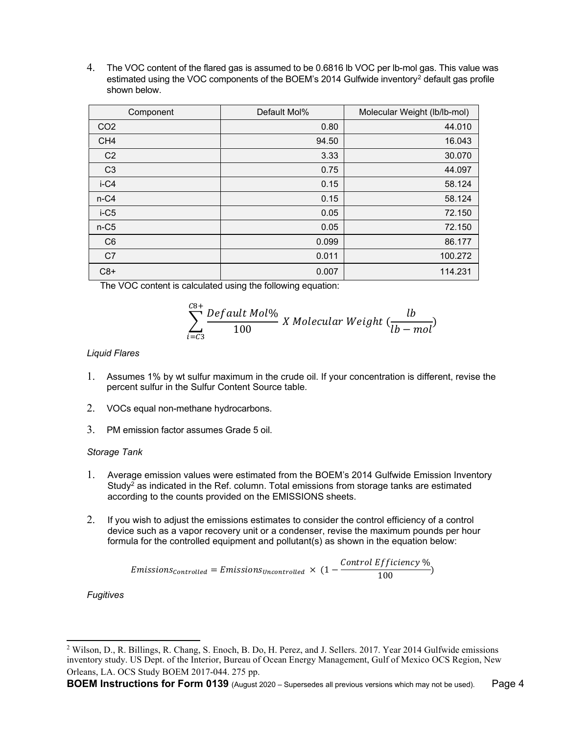4. The VOC content of the flared gas is assumed to be 0.6816 lb VOC per lb-mol gas. This value was estimated using the VOC components of the BOEM's 2014 Gulfwide inventory[2](#page-3-0) default gas profile shown below.

| Component       | Default Mol% | Molecular Weight (lb/lb-mol) |
|-----------------|--------------|------------------------------|
| CO <sub>2</sub> | 0.80         | 44.010                       |
| CH <sub>4</sub> | 94.50        | 16.043                       |
| C <sub>2</sub>  | 3.33         | 30.070                       |
| C <sub>3</sub>  | 0.75         | 44.097                       |
| $i-C4$          | 0.15         | 58.124                       |
| $n-C4$          | 0.15         | 58.124                       |
| $i-C5$          | 0.05         | 72.150                       |
| $n-C5$          | 0.05         | 72.150                       |
| C <sub>6</sub>  | 0.099        | 86.177                       |
| C7              | 0.011        | 100.272                      |
| $C8+$           | 0.007        | 114.231                      |

The VOC content is calculated using the following equation:

$$
\sum_{i=C3}^{C8+} \frac{Default \; Mol\%}{100} \; X \; Molecular \; Weight \; (\frac{lb}{lb - mol})
$$

## *Liquid Flares*

- 1. Assumes 1% by wt sulfur maximum in the crude oil. If your concentration is different, revise the percent sulfur in the Sulfur Content Source table.
- 2. VOCs equal non-methane hydrocarbons.
- 3. PM emission factor assumes Grade 5 oil.

### *Storage Tank*

- 1. Average emission values were estimated from the BOEM's 2014 Gulfwide Emission Inventory Study<sup>2</sup> as indicated in the Ref. column. Total emissions from storage tanks are estimated according to the counts provided on the EMISSIONS sheets.
- 2. If you wish to adjust the emissions estimates to consider the control efficiency of a control device such as a vapor recovery unit or a condenser, revise the maximum pounds per hour formula for the controlled equipment and pollutant(s) as shown in the equation below:

$$
Emissions_{controlled} = Emissions_{Uncontrolled} \times (1 - \frac{Control \ Efficiency \ %}{100})
$$

*Fugitives*

<span id="page-3-0"></span><sup>&</sup>lt;sup>2</sup> Wilson, D., R. Billings, R. Chang, S. Enoch, B. Do, H. Perez, and J. Sellers. 2017. Year 2014 Gulfwide emissions inventory study. US Dept. of the Interior, Bureau of Ocean Energy Management, Gulf of Mexico OCS Region, New Orleans, LA. OCS Study BOEM 2017-044. 275 pp.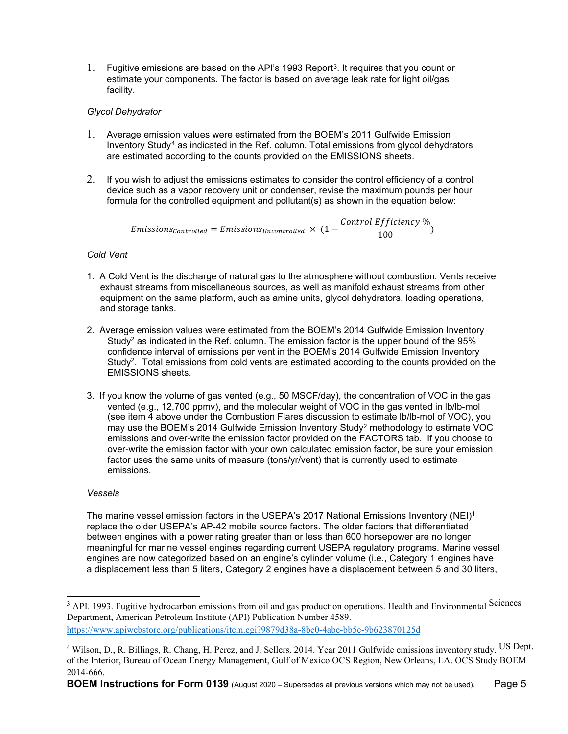1. Fugitive emissions are based on the API's 199[3](#page-4-0) Report<sup>3</sup>. It requires that you count or estimate your components. The factor is based on average leak rate for light oil/gas facility.

# *Glycol Dehydrator*

- 1. Average emission values were estimated from the BOEM's 2011 Gulfwide Emission Inventory Study[4](#page-4-1) as indicated in the Ref. column. Total emissions from glycol dehydrators are estimated according to the counts provided on the EMISSIONS sheets.
- 2. If you wish to adjust the emissions estimates to consider the control efficiency of a control device such as a vapor recovery unit or condenser, revise the maximum pounds per hour formula for the controlled equipment and pollutant(s) as shown in the equation below:

 $Emissions_{Controlled} = Emissions_{Uncontrolled} \times (1 - \frac{Control \ Efticiency \ %}{100})$ 

# *Cold Vent*

- 1. A Cold Vent is the discharge of natural gas to the atmosphere without combustion. Vents receive exhaust streams from miscellaneous sources, as well as manifold exhaust streams from other equipment on the same platform, such as amine units, glycol dehydrators, loading operations, and storage tanks.
- 2. Average emission values were estimated from the BOEM's 2014 Gulfwide Emission Inventory Study<sup>2</sup> as indicated in the Ref. column. The emission factor is the upper bound of the  $95\%$ confidence interval of emissions per vent in the BOEM's 2014 Gulfwide Emission Inventory Study<sup>2</sup>. Total emissions from cold vents are estimated according to the counts provided on the EMISSIONS sheets.
- 3. If you know the volume of gas vented (e.g., 50 MSCF/day), the concentration of VOC in the gas vented (e.g., 12,700 ppmv), and the molecular weight of VOC in the gas vented in lb/lb-mol (see item 4 above under the Combustion Flares discussion to estimate lb/lb-mol of VOC), you may use the BOEM's 2014 Gulfwide Emission Inventory Study2 methodology to estimate VOC emissions and over-write the emission factor provided on the FACTORS tab. If you choose to over-write the emission factor with your own calculated emission factor, be sure your emission factor uses the same units of measure (tons/yr/vent) that is currently used to estimate emissions.

## *Vessels*

The marine vessel emission factors in the USEPA's 2017 National Emissions Inventory (NEI)<sup>1</sup> replace the older USEPA's AP-42 mobile source factors. The older factors that differentiated between engines with a power rating greater than or less than 600 horsepower are no longer meaningful for marine vessel engines regarding current USEPA regulatory programs. Marine vessel engines are now categorized based on an engine's cylinder volume (i.e., Category 1 engines have a displacement less than 5 liters, Category 2 engines have a displacement between 5 and 30 liters,

<span id="page-4-0"></span><sup>&</sup>lt;sup>3</sup> API. 1993. Fugitive hydrocarbon emissions from oil and gas production operations. Health and Environmental Sciences Department, American Petroleum Institute (API) Publication Number 4589. <https://www.apiwebstore.org/publications/item.cgi?9879d38a-8bc0-4abe-bb5c-9b623870125d>

<span id="page-4-1"></span><sup>&</sup>lt;sup>4</sup> Wilson, D., R. Billings, R. Chang, H. Perez, and J. Sellers. 2014. Year 2011 Gulfwide emissions inventory study. <sup>US Dept.</sup> of the Interior, Bureau of Ocean Energy Management, Gulf of Mexico OCS Region, New Orleans, LA. OCS Study BOEM 2014-666.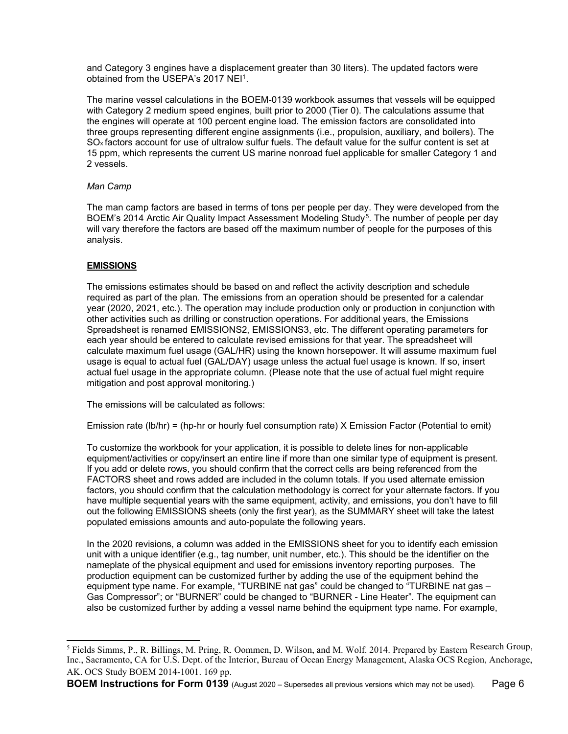and Category 3 engines have a displacement greater than 30 liters). The updated factors were obtained from the USEPA's 2017 NEI1.

The marine vessel calculations in the BOEM-0139 workbook assumes that vessels will be equipped with Category 2 medium speed engines, built prior to 2000 (Tier 0). The calculations assume that the engines will operate at 100 percent engine load. The emission factors are consolidated into three groups representing different engine assignments (i.e., propulsion, auxiliary, and boilers). The SOx factors account for use of ultralow sulfur fuels. The default value for the sulfur content is set at 15 ppm, which represents the current US marine nonroad fuel applicable for smaller Category 1 and 2 vessels.

## *Man Camp*

The man camp factors are based in terms of tons per people per day. They were developed from the BOEM's 2014 Arctic Air Quality Impact Assessment Modeling Study<sup>5</sup>. The number of people per day will vary therefore the factors are based off the maximum number of people for the purposes of this analysis.

# **EMISSIONS**

The emissions estimates should be based on and reflect the activity description and schedule required as part of the plan. The emissions from an operation should be presented for a calendar year (2020, 2021, etc.). The operation may include production only or production in conjunction with other activities such as drilling or construction operations. For additional years, the Emissions Spreadsheet is renamed EMISSIONS2, EMISSIONS3, etc. The different operating parameters for each year should be entered to calculate revised emissions for that year. The spreadsheet will calculate maximum fuel usage (GAL/HR) using the known horsepower. It will assume maximum fuel usage is equal to actual fuel (GAL/DAY) usage unless the actual fuel usage is known. If so, insert actual fuel usage in the appropriate column. (Please note that the use of actual fuel might require mitigation and post approval monitoring.)

The emissions will be calculated as follows:

Emission rate (lb/hr) = (hp-hr or hourly fuel consumption rate) X Emission Factor (Potential to emit)

To customize the workbook for your application, it is possible to delete lines for non-applicable equipment/activities or copy/insert an entire line if more than one similar type of equipment is present. If you add or delete rows, you should confirm that the correct cells are being referenced from the FACTORS sheet and rows added are included in the column totals. If you used alternate emission factors, you should confirm that the calculation methodology is correct for your alternate factors. If you have multiple sequential years with the same equipment, activity, and emissions, you don't have to fill out the following EMISSIONS sheets (only the first year), as the SUMMARY sheet will take the latest populated emissions amounts and auto-populate the following years.

In the 2020 revisions, a column was added in the EMISSIONS sheet for you to identify each emission unit with a unique identifier (e.g., tag number, unit number, etc.). This should be the identifier on the nameplate of the physical equipment and used for emissions inventory reporting purposes. The production equipment can be customized further by adding the use of the equipment behind the equipment type name. For example, "TURBINE nat gas" could be changed to "TURBINE nat gas – Gas Compressor"; or "BURNER" could be changed to "BURNER - Line Heater". The equipment can also be customized further by adding a vessel name behind the equipment type name. For example,

<span id="page-5-0"></span><sup>&</sup>lt;sup>5</sup> Fields Simms, P., R. Billings, M. Pring, R. Oommen, D. Wilson, and M. Wolf. 2014. Prepared by Eastern Research Group, Inc., Sacramento, CA for U.S. Dept. of the Interior, Bureau of Ocean Energy Management, Alaska OCS Region, Anchorage, AK. OCS Study BOEM 2014-1001. 169 pp.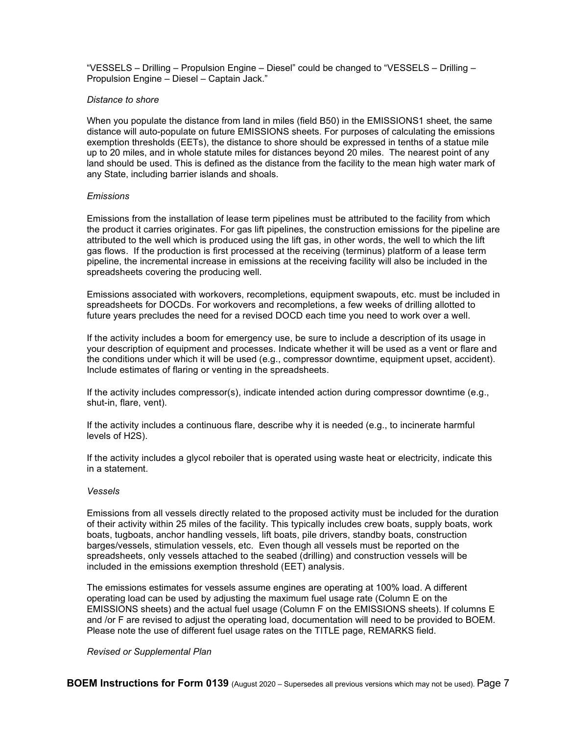"VESSELS – Drilling – Propulsion Engine – Diesel" could be changed to "VESSELS – Drilling – Propulsion Engine – Diesel – Captain Jack."

#### *Distance to shore*

When you populate the distance from land in miles (field B50) in the EMISSIONS1 sheet, the same distance will auto-populate on future EMISSIONS sheets. For purposes of calculating the emissions exemption thresholds (EETs), the distance to shore should be expressed in tenths of a statue mile up to 20 miles, and in whole statute miles for distances beyond 20 miles. The nearest point of any land should be used. This is defined as the distance from the facility to the mean high water mark of any State, including barrier islands and shoals.

### *Emissions*

Emissions from the installation of lease term pipelines must be attributed to the facility from which the product it carries originates. For gas lift pipelines, the construction emissions for the pipeline are attributed to the well which is produced using the lift gas, in other words, the well to which the lift gas flows. If the production is first processed at the receiving (terminus) platform of a lease term pipeline, the incremental increase in emissions at the receiving facility will also be included in the spreadsheets covering the producing well.

Emissions associated with workovers, recompletions, equipment swapouts, etc. must be included in spreadsheets for DOCDs. For workovers and recompletions, a few weeks of drilling allotted to future years precludes the need for a revised DOCD each time you need to work over a well.

If the activity includes a boom for emergency use, be sure to include a description of its usage in your description of equipment and processes. Indicate whether it will be used as a vent or flare and the conditions under which it will be used (e.g., compressor downtime, equipment upset, accident). Include estimates of flaring or venting in the spreadsheets.

If the activity includes compressor(s), indicate intended action during compressor downtime (e.g., shut-in, flare, vent).

If the activity includes a continuous flare, describe why it is needed (e.g., to incinerate harmful levels of H2S).

If the activity includes a glycol reboiler that is operated using waste heat or electricity, indicate this in a statement.

#### *Vessels*

Emissions from all vessels directly related to the proposed activity must be included for the duration of their activity within 25 miles of the facility. This typically includes crew boats, supply boats, work boats, tugboats, anchor handling vessels, lift boats, pile drivers, standby boats, construction barges/vessels, stimulation vessels, etc. Even though all vessels must be reported on the spreadsheets, only vessels attached to the seabed (drilling) and construction vessels will be included in the emissions exemption threshold (EET) analysis.

The emissions estimates for vessels assume engines are operating at 100% load. A different operating load can be used by adjusting the maximum fuel usage rate (Column E on the EMISSIONS sheets) and the actual fuel usage (Column F on the EMISSIONS sheets). If columns E and /or F are revised to adjust the operating load, documentation will need to be provided to BOEM. Please note the use of different fuel usage rates on the TITLE page, REMARKS field.

#### *Revised or Supplemental Plan*